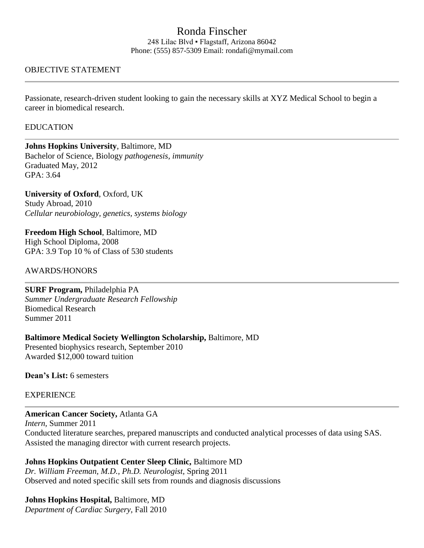# Ronda Finscher

248 Lilac Blvd ▪ Flagstaff, Arizona 86042 Phone: (555) 857-5309 Email: rondafi@mymail.com

## OBJECTIVE STATEMENT

Passionate, research-driven student looking to gain the necessary skills at XYZ Medical School to begin a career in biomedical research.

#### **EDUCATION**

**Johns Hopkins University**, Baltimore, MD Bachelor of Science, Biology *pathogenesis, immunity* Graduated May, 2012 GPA: 3.64

**University of Oxford**, Oxford, UK Study Abroad, 2010 *Cellular neurobiology, genetics, systems biology*

**Freedom High School**, Baltimore, MD High School Diploma, 2008 GPA: 3.9 Top 10 % of Class of 530 students

#### AWARDS/HONORS

**SURF Program,** Philadelphia PA *Summer Undergraduate Research Fellowship* Biomedical Research Summer 2011

## **Baltimore Medical Society Wellington Scholarship,** Baltimore, MD

Presented biophysics research, September 2010 Awarded \$12,000 toward tuition

**Dean's List:** 6 semesters

## EXPERIENCE

**American Cancer Society,** Atlanta GA

*Intern,* Summer 2011 Conducted literature searches, prepared manuscripts and conducted analytical processes of data using SAS. Assisted the managing director with current research projects.

**Johns Hopkins Outpatient Center Sleep Clinic,** Baltimore MD *Dr. William Freeman, M.D., Ph.D. Neurologist,* Spring 2011 Observed and noted specific skill sets from rounds and diagnosis discussions

## **Johns Hopkins Hospital,** Baltimore, MD

*Department of Cardiac Surgery,* Fall 2010